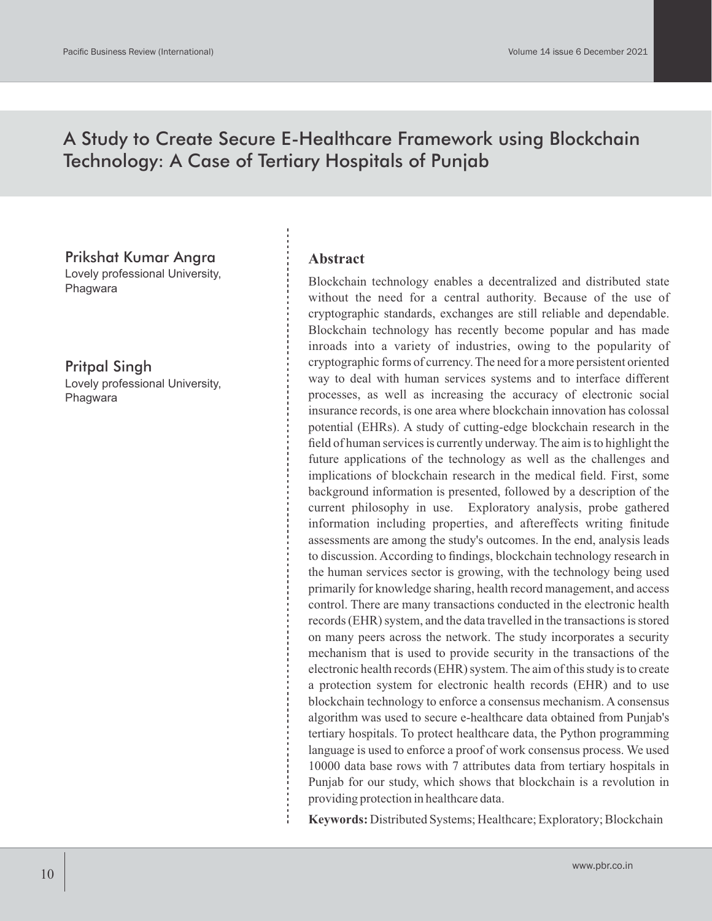# A Study to Create Secure E-Healthcare Framework using Blockchain Technology: A Case of Tertiary Hospitals of Punjab

Prikshat Kumar Angra Lovely professional University, Phagwara

Pritpal Singh Lovely professional University, Phagwara

#### **Abstract**

Blockchain technology enables a decentralized and distributed state without the need for a central authority. Because of the use of cryptographic standards, exchanges are still reliable and dependable. Blockchain technology has recently become popular and has made inroads into a variety of industries, owing to the popularity of cryptographic forms of currency. The need for a more persistent oriented way to deal with human services systems and to interface different processes, as well as increasing the accuracy of electronic social insurance records, is one area where blockchain innovation has colossal potential (EHRs). A study of cutting-edge blockchain research in the field of human services is currently underway. The aim is to highlight the future applications of the technology as well as the challenges and implications of blockchain research in the medical field. First, some background information is presented, followed by a description of the current philosophy in use. Exploratory analysis, probe gathered information including properties, and aftereffects writing finitude assessments are among the study's outcomes. In the end, analysis leads to discussion. According to findings, blockchain technology research in the human services sector is growing, with the technology being used primarily for knowledge sharing, health record management, and access control. There are many transactions conducted in the electronic health records (EHR) system, and the data travelled in the transactions is stored on many peers across the network. The study incorporates a security mechanism that is used to provide security in the transactions of the electronic health records (EHR) system. The aim of this study is to create a protection system for electronic health records (EHR) and to use blockchain technology to enforce a consensus mechanism. A consensus algorithm was used to secure e-healthcare data obtained from Punjab's tertiary hospitals. To protect healthcare data, the Python programming language is used to enforce a proof of work consensus process. We used 10000 data base rows with 7 attributes data from tertiary hospitals in Punjab for our study, which shows that blockchain is a revolution in providing protection in healthcare data.

**Keywords:** Distributed Systems; Healthcare; Exploratory; Blockchain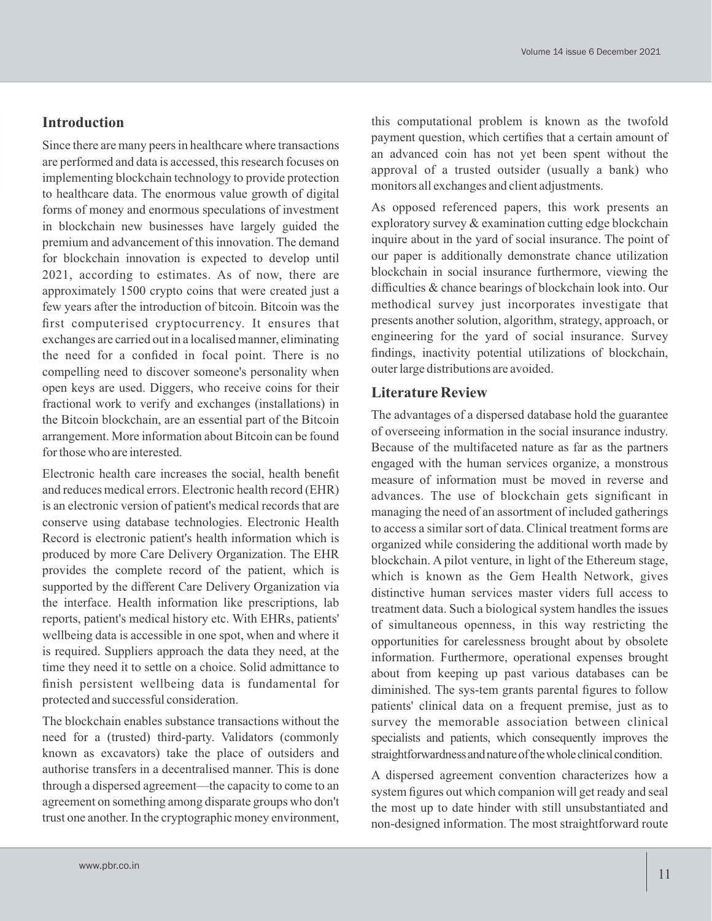### **Introduction**

Since there are many peers in healthcare where transactions are performed and data is accessed, this research focuses on implementing blockchain technology to provide protection to healthcare data. The enormous value growth of digital forms of money and enormous speculations of investment in blockchain new businesses have largely guided the premium and advancement of this innovation. The demand for blockchain innovation is expected to develop until 2021, according to estimates. As of now, there are approximately 1500 crypto coins that were created just a few years after the introduction of bitcoin. Bitcoin was the first computerised cryptocurrency. It ensures that exchanges are carried out in a localised manner, eliminating the need for a confided in focal point. There is no compelling need to discover someone's personality when open keys are used. Diggers, who receive coins for their fractional work to verify and exchanges (installations) in the Bitcoin blockchain, are an essential part of the Bitcoin arrangement. More information about Bitcoin can be found for those who are interested.

Electronic health care increases the social, health benefit and reduces medical errors. Electronic health record (EHR) is an electronic version of patient's medical records that are conserve using database technologies. Electronic Health Record is electronic patient's health information which is produced by more Care Delivery Organization. The EHR provides the complete record of the patient, which is supported by the different Care Delivery Organization via the interface. Health information like prescriptions, lab reports, patient's medical history etc. With EHRs, patients' wellbeing data is accessible in one spot, when and where it is required. Suppliers approach the data they need, at the time they need it to settle on a choice. Solid admittance to finish persistent wellbeing data is fundamental for protected and successful consideration.

The blockchain enables substance transactions without the need for a (trusted) third-party. Validators (commonly known as excavators) take the place of outsiders and authorise transfers in a decentralised manner. This is done through a dispersed agreement—the capacity to come to an agreement on something among disparate groups who don't trust one another. In the cryptographic money environment,

this computational problem is known as the twofold payment question, which certifies that a certain amount of an advanced coin has not yet been spent without the approval of a trusted outsider (usually a bank) who monitors all exchanges and client adjustments.

As opposed referenced papers, this work presents an exploratory survey & examination cutting edge blockchain inquire about in the yard of social insurance. The point of our paper is additionally demonstrate chance utilization blockchain in social insurance furthermore, viewing the difficulties & chance bearings of blockchain look into. Our methodical survey just incorporates investigate that presents another solution, algorithm, strategy, approach, or engineering for the yard of social insurance. Survey findings, inactivity potential utilizations of blockchain, outer large distributions are avoided.

#### **Literature Review**

The advantages of a dispersed database hold the guarantee of overseeing information in the social insurance industry. Because of the multifaceted nature as far as the partners engaged with the human services organize, a monstrous measure of information must be moved in reverse and advances. The use of blockchain gets significant in managing the need of an assortment of included gatherings to access a similar sort of data. Clinical treatment forms are organized while considering the additional worth made by blockchain. A pilot venture, in light of the Ethereum stage, which is known as the Gem Health Network, gives distinctive human services master viders full access to treatment data. Such a biological system handles the issues of simultaneous openness, in this way restricting the opportunities for carelessness brought about by obsolete information. Furthermore, operational expenses brought about from keeping up past various databases can be diminished. The sys-tem grants parental figures to follow patients' clinical data on a frequent premise, just as to survey the memorable association between clinical specialists and patients, which consequently improves the straightforwardness and nature of the whole clinical condition.

A dispersed agreement convention characterizes how a system figures out which companion will get ready and seal the most up to date hinder with still unsubstantiated and non-designed information. The most straightforward route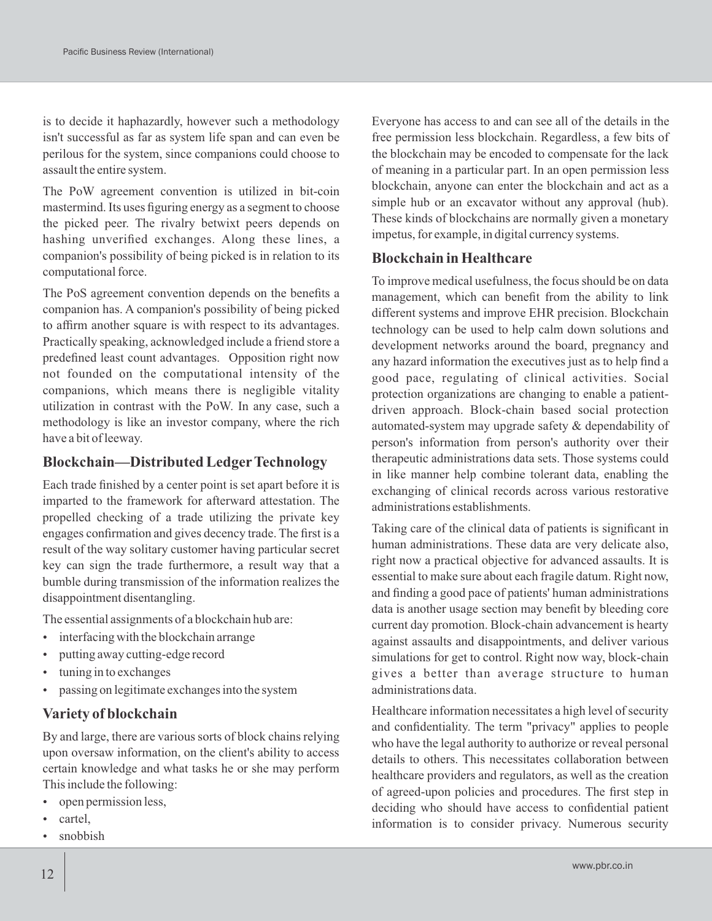is to decide it haphazardly, however such a methodology isn't successful as far as system life span and can even be perilous for the system, since companions could choose to assault the entire system.

The PoW agreement convention is utilized in bit-coin mastermind. Its uses figuring energy as a segment to choose the picked peer. The rivalry betwixt peers depends on hashing unverified exchanges. Along these lines, a companion's possibility of being picked is in relation to its computational force.

The PoS agreement convention depends on the benefits a companion has. A companion's possibility of being picked to affirm another square is with respect to its advantages. Practically speaking, acknowledged include a friend store a predefined least count advantages. Opposition right now not founded on the computational intensity of the companions, which means there is negligible vitality utilization in contrast with the PoW. In any case, such a methodology is like an investor company, where the rich have a bit of leeway.

#### **Blockchain—Distributed LedgerTechnology**

Each trade finished by a center point is set apart before it is imparted to the framework for afterward attestation. The propelled checking of a trade utilizing the private key engages confirmation and gives decency trade. The first is a result of the way solitary customer having particular secret key can sign the trade furthermore, a result way that a bumble during transmission of the information realizes the disappointment disentangling.

The essential assignments of a blockchain hub are:

- $\cdot$  interfacing with the blockchain arrange
- putting away cutting-edge record
- tuning in to exchanges
- passing on legitimate exchanges into the system

#### **Variety of blockchain**

By and large, there are various sorts of block chains relying upon oversaw information, on the client's ability to access certain knowledge and what tasks he or she may perform This include the following:

- open permission less,
- cartel,
- snobbish

Everyone has access to and can see all of the details in the free permission less blockchain. Regardless, a few bits of the blockchain may be encoded to compensate for the lack of meaning in a particular part. In an open permission less blockchain, anyone can enter the blockchain and act as a simple hub or an excavator without any approval (hub). These kinds of blockchains are normally given a monetary impetus, for example, in digital currency systems.

#### **Blockchain in Healthcare**

To improve medical usefulness, the focus should be on data management, which can benefit from the ability to link different systems and improve EHR precision. Blockchain technology can be used to help calm down solutions and development networks around the board, pregnancy and any hazard information the executives just as to help find a good pace, regulating of clinical activities. Social protection organizations are changing to enable a patientdriven approach. Block-chain based social protection automated-system may upgrade safety & dependability of person's information from person's authority over their therapeutic administrations data sets. Those systems could in like manner help combine tolerant data, enabling the exchanging of clinical records across various restorative administrations establishments.

Taking care of the clinical data of patients is significant in human administrations. These data are very delicate also, right now a practical objective for advanced assaults. It is essential to make sure about each fragile datum. Right now, and finding a good pace of patients' human administrations data is another usage section may benefit by bleeding core current day promotion. Block-chain advancement is hearty against assaults and disappointments, and deliver various simulations for get to control. Right now way, block-chain gives a better than average structure to human administrations data.

Healthcare information necessitates a high level of security and confidentiality. The term "privacy" applies to people who have the legal authority to authorize or reveal personal details to others. This necessitates collaboration between healthcare providers and regulators, as well as the creation of agreed-upon policies and procedures. The first step in deciding who should have access to confidential patient information is to consider privacy. Numerous security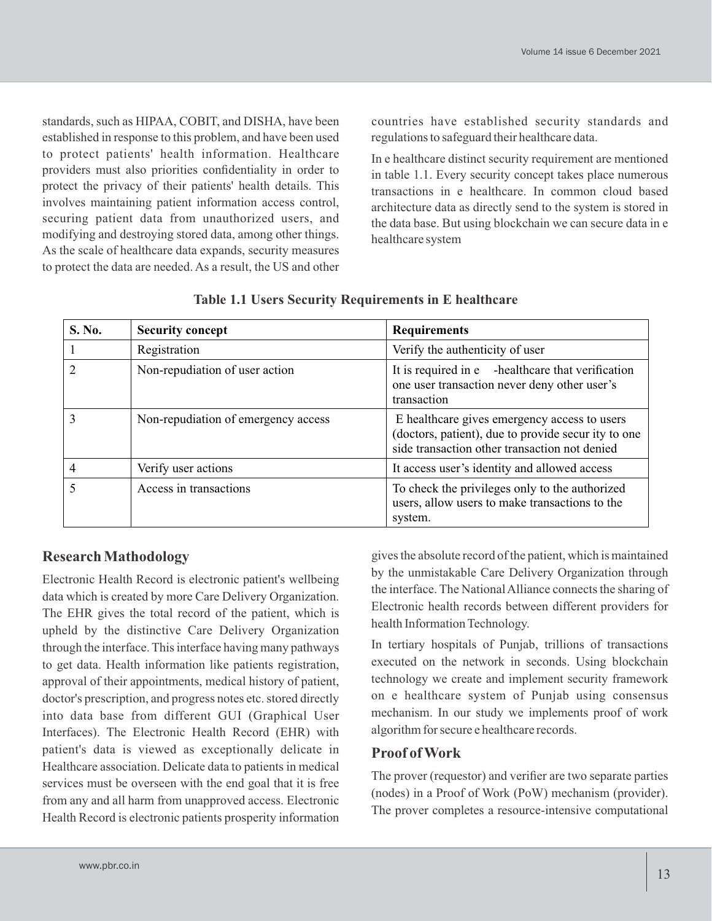standards, such as HIPAA, COBIT, and DISHA, have been established in response to this problem, and have been used to protect patients' health information. Healthcare providers must also priorities confidentiality in order to protect the privacy of their patients' health details. This involves maintaining patient information access control, securing patient data from unauthorized users, and modifying and destroying stored data, among other things. As the scale of healthcare data expands, security measures to protect the data are needed. As a result, the US and other countries have established security standards and regulations to safeguard their healthcare data.

In e healthcare distinct security requirement are mentioned in table 1.1. Every security concept takes place numerous transactions in e healthcare. In common cloud based architecture data as directly send to the system is stored in the data base. But using blockchain we can secure data in e healthcare system

| S. No.         | <b>Security concept</b>             | <b>Requirements</b>                                                                                                                                  |  |  |
|----------------|-------------------------------------|------------------------------------------------------------------------------------------------------------------------------------------------------|--|--|
|                | Registration                        | Verify the authenticity of user                                                                                                                      |  |  |
| $\overline{2}$ | Non-repudiation of user action      | It is required in e -healthcare that verification<br>one user transaction never deny other user's<br>transaction                                     |  |  |
| 3              | Non-repudiation of emergency access | E healthcare gives emergency access to users<br>(doctors, patient), due to provide secur ity to one<br>side transaction other transaction not denied |  |  |
| $\overline{4}$ | Verify user actions                 | It access user's identity and allowed access                                                                                                         |  |  |
|                | Access in transactions              | To check the privileges only to the authorized<br>users, allow users to make transactions to the<br>system.                                          |  |  |

|  |  |  | Table 1.1 Users Security Requirements in E healthcare |  |  |  |
|--|--|--|-------------------------------------------------------|--|--|--|
|--|--|--|-------------------------------------------------------|--|--|--|

## **Research Mathodology**

Electronic Health Record is electronic patient's wellbeing data which is created by more Care Delivery Organization. The EHR gives the total record of the patient, which is upheld by the distinctive Care Delivery Organization through the interface. This interface having many pathways to get data. Health information like patients registration, approval of their appointments, medical history of patient, doctor's prescription, and progress notes etc. stored directly into data base from different GUI (Graphical User Interfaces). The Electronic Health Record (EHR) with patient's data is viewed as exceptionally delicate in Healthcare association. Delicate data to patients in medical services must be overseen with the end goal that it is free from any and all harm from unapproved access. Electronic Health Record is electronic patients prosperity information

gives the absolute record of the patient, which is maintained by the unmistakable Care Delivery Organization through the interface. The National Alliance connects the sharing of Electronic health records between different providers for health Information Technology.

In tertiary hospitals of Punjab, trillions of transactions executed on the network in seconds. Using blockchain technology we create and implement security framework on e healthcare system of Punjab using consensus mechanism. In our study we implements proof of work algorithm for secure e healthcare records.

### **Proof of Work**

The prover (requestor) and verifier are two separate parties (nodes) in a Proof of Work (PoW) mechanism (provider). The prover completes a resource-intensive computational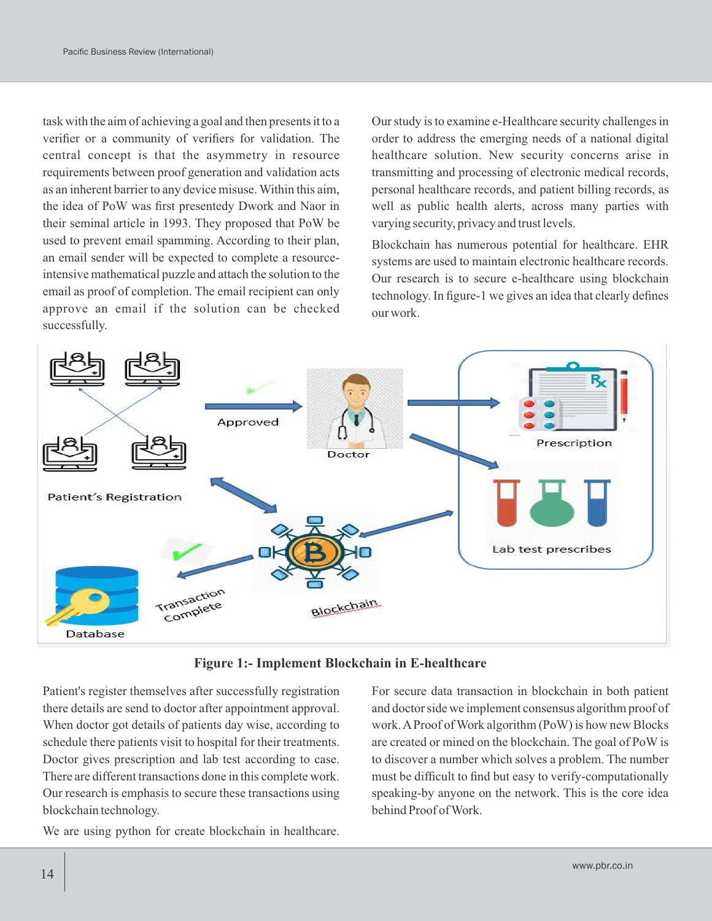task with the aim of achieving a goal and then presents it to a verifier or a community of verifiers for validation. The central concept is that the asymmetry in resource requirements between proof generation and validation acts as an inherent barrier to any device misuse. Within this aim, the idea of PoW was first presentedy Dwork and Naor in their seminal article in 1993. They proposed that PoW be used to prevent email spamming. According to their plan, an email sender will be expected to complete a resourceintensive mathematical puzzle and attach the solution to the email as proof of completion. The email recipient can only approve an email if the solution can be checked successfully.

Our study is to examine e-Healthcare security challenges in order to address the emerging needs of a national digital healthcare solution. New security concerns arise in transmitting and processing of electronic medical records, personal healthcare records, and patient billing records, as well as public health alerts, across many parties with varying security, privacy and trust levels.

Blockchain has numerous potential for healthcare. EHR systems are used to maintain electronic healthcare records. Our research is to secure e-healthcare using blockchain technology. In figure-1 we gives an idea that clearly defines our work.



**Figure 1:- Implement Blockchain in E-healthcare**

Patient's register themselves after successfully registration there details are send to doctor after appointment approval. When doctor got details of patients day wise, according to schedule there patients visit to hospital for their treatments. Doctor gives prescription and lab test according to case. There are different transactions done in this complete work. Our research is emphasis to secure these transactions using blockchain technology.

We are using python for create blockchain in healthcare.

For secure data transaction in blockchain in both patient and doctor side we implement consensus algorithm proof of work. AProof of Work algorithm (PoW) is how new Blocks are created or mined on the blockchain. The goal of PoW is to discover a number which solves a problem. The number must be difficult to find but easy to verify-computationally speaking-by anyone on the network. This is the core idea behind Proof of Work.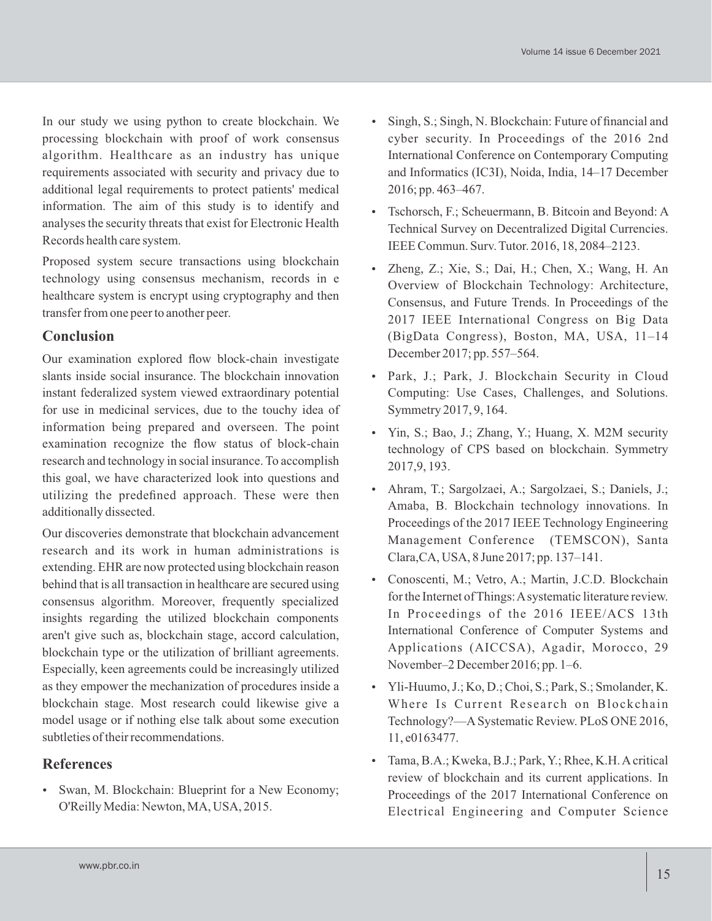In our study we using python to create blockchain. We processing blockchain with proof of work consensus algorithm. Healthcare as an industry has unique requirements associated with security and privacy due to additional legal requirements to protect patients' medical information. The aim of this study is to identify and analyses the security threats that exist for Electronic Health Records health care system.

Proposed system secure transactions using blockchain technology using consensus mechanism, records in e healthcare system is encrypt using cryptography and then transfer from one peer to another peer.

### **Conclusion**

Our examination explored flow block-chain investigate slants inside social insurance. The blockchain innovation instant federalized system viewed extraordinary potential for use in medicinal services, due to the touchy idea of information being prepared and overseen. The point examination recognize the flow status of block-chain research and technology in social insurance. To accomplish this goal, we have characterized look into questions and utilizing the predefined approach. These were then additionally dissected.

Our discoveries demonstrate that blockchain advancement research and its work in human administrations is extending. EHR are now protected using blockchain reason behind that is all transaction in healthcare are secured using consensus algorithm. Moreover, frequently specialized insights regarding the utilized blockchain components aren't give such as, blockchain stage, accord calculation, blockchain type or the utilization of brilliant agreements. Especially, keen agreements could be increasingly utilized as they empower the mechanization of procedures inside a blockchain stage. Most research could likewise give a model usage or if nothing else talk about some execution subtleties of their recommendations.

## **References**

 Swan, M. Blockchain: Blueprint for a New Economy; O'Reilly Media: Newton, MA, USA, 2015.

- Singh, S.; Singh, N. Blockchain: Future of financial and cyber security. In Proceedings of the 2016 2nd International Conference on Contemporary Computing and Informatics (IC3I), Noida, India, 14–17 December 2016; pp. 463–467.
- Tschorsch, F.; Scheuermann, B. Bitcoin and Beyond: A Technical Survey on Decentralized Digital Currencies. IEEE Commun. Surv. Tutor. 2016, 18, 2084–2123.
- Zheng, Z.; Xie, S.; Dai, H.; Chen, X.; Wang, H. An Overview of Blockchain Technology: Architecture, Consensus, and Future Trends. In Proceedings of the 2017 IEEE International Congress on Big Data (BigData Congress), Boston, MA, USA, 11–14 December 2017; pp. 557–564.
- Park, J.; Park, J. Blockchain Security in Cloud Computing: Use Cases, Challenges, and Solutions. Symmetry 2017, 9, 164.
- Yin, S.; Bao, J.; Zhang, Y.; Huang, X. M2M security technology of CPS based on blockchain. Symmetry 2017,9, 193.
- Ahram, T.; Sargolzaei, A.; Sargolzaei, S.; Daniels, J.; Amaba, B. Blockchain technology innovations. In Proceedings of the 2017 IEEE Technology Engineering Management Conference (TEMSCON), Santa Clara,CA, USA, 8 June 2017; pp. 137–141.
- Conoscenti, M.; Vetro, A.; Martin, J.C.D. Blockchain for the Internet of Things: Asystematic literature review. In Proceedings of the 2016 IEEE/ACS 13th International Conference of Computer Systems and Applications (AICCSA), Agadir, Morocco, 29 November–2 December 2016; pp. 1–6.
- Yli-Huumo, J.; Ko, D.; Choi, S.; Park, S.; Smolander, K. Where Is Current Research on Blockchain Technology?—ASystematic Review. PLoS ONE 2016, 11, e0163477.
- Tama, B.A.; Kweka, B.J.; Park, Y.; Rhee, K.H. Acritical review of blockchain and its current applications. In Proceedings of the 2017 International Conference on Electrical Engineering and Computer Science